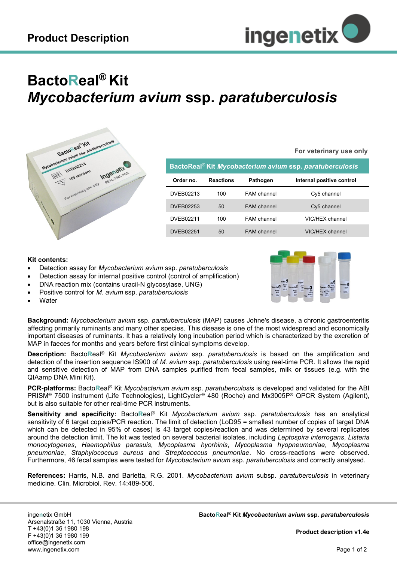

## **BactoReal® Kit** *Mycobacterium avium* **ssp.** *paratuberculosis*



**For veterinary use only**

| BactoReal® Kit Mycobacterium avium ssp. paratuberculosis |                  |                    |                           |
|----------------------------------------------------------|------------------|--------------------|---------------------------|
| Order no.                                                | <b>Reactions</b> | Pathogen           | Internal positive control |
| DVEB02213                                                | 100              | FAM channel        | Cy5 channel               |
| <b>DVEB02253</b>                                         | 50               | <b>FAM</b> channel | Cy5 channel               |
| DVEB02211                                                | 100              | <b>FAM</b> channel | VIC/HEX channel           |
| DVFB02251                                                | 50               | <b>FAM</b> channel | VIC/HFX channel           |

## **Kit contents:**

- Detection assay for *Mycobacterium avium* ssp. *paratuberculosis*
- Detection assay for internal positive control (control of amplification)
- DNA reaction mix (contains uracil-N glycosylase, UNG)
- Positive control for *M. avium* ssp. *paratuberculosis*
- **Water**

**Background:** *Mycobacterium avium* ssp. *paratuberculosis* (MAP) causes Johne's disease, a chronic gastroenteritis affecting primarily ruminants and many other species. This disease is one of the most widespread and economically important diseases of ruminants. It has a relatively long incubation period which is characterized by the excretion of MAP in faeces for months and years before first clinical symptoms develop.

**Description:** Bacto**R**eal® Kit *Mycobacterium avium* ssp. *paratuberculosis* is based on the amplification and detection of the insertion sequence IS900 of *M. avium* ssp. *paratuberculosis* using real-time PCR. It allows the rapid and sensitive detection of MAP from DNA samples purified from fecal samples, milk or tissues (e.g. with the QIAamp DNA Mini Kit).

**PCR-platforms:** Bacto**R**eal® Kit *Mycobacterium avium* ssp. *paratuberculosis* is developed and validated for the ABI PRISM® 7500 instrument (Life Technologies), LightCycler® 480 (Roche) and Mx3005P® QPCR System (Agilent), but is also suitable for other real-time PCR instruments.

**Sensitivity and specificity:** Bacto**R**eal® Kit *Mycobacterium avium* ssp. *paratuberculosis* has an analytical sensitivity of 6 target copies/PCR reaction. The limit of detection (LoD95 = smallest number of copies of target DNA which can be detected in 95% of cases) is 43 target copies/reaction and was determined by several replicates around the detection limit. The kit was tested on several bacterial isolates, including *Leptospira interrogans*, *Listeria monocytogenes*, *Haemophilus parasuis*, *Mycoplasma hyorhinis*, *Mycoplasma hyopneumoniae*, *Mycoplasma pneumoniae*, *Staphylococcus aureus* and *Streptococcus pneumoniae*. No cross-reactions were observed. Furthermore, 46 fecal samples were tested for *Mycobacterium avium* ssp. *paratuberculosis* and correctly analysed.

**References:** Harris, N.B. and Barletta, R.G. 2001. *Mycobacterium avium* subsp. *paratuberculosis* in veterinary medicine. Clin. Microbiol. Rev. 14:489-506.

inge**n**etix GmbH Arsenalstraße 11, 1030 Vienna, Austria T +43(0)1 36 1980 198 F +43(0)1 36 1980 199 office@ingenetix.com www.ingenetix.com

 **Product description v1.4e**